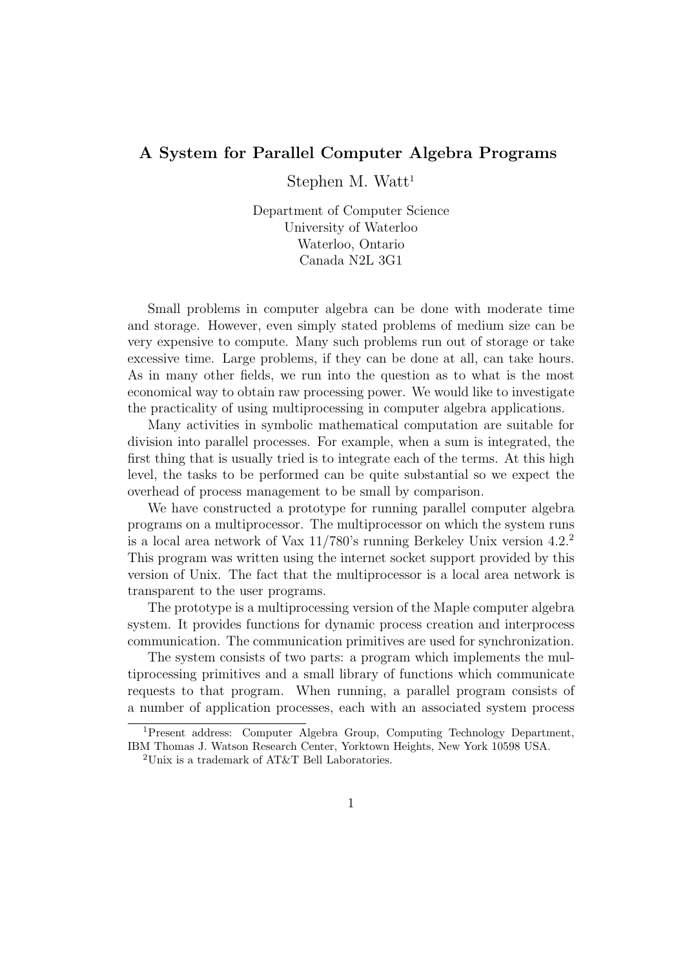## A System for Parallel Computer Algebra Programs

Stephen M. Watt<sup>1</sup>

Department of Computer Science University of Waterloo Waterloo, Ontario Canada N2L 3G1

Small problems in computer algebra can be done with moderate time and storage. However, even simply stated problems of medium size can be very expensive to compute. Many such problems run out of storage or take excessive time. Large problems, if they can be done at all, can take hours. As in many other fields, we run into the question as to what is the most economical way to obtain raw processing power. We would like to investigate the practicality of using multiprocessing in computer algebra applications.

Many activities in symbolic mathematical computation are suitable for division into parallel processes. For example, when a sum is integrated, the first thing that is usually tried is to integrate each of the terms. At this high level, the tasks to be performed can be quite substantial so we expect the overhead of process management to be small by comparison.

We have constructed a prototype for running parallel computer algebra programs on a multiprocessor. The multiprocessor on which the system runs is a local area network of Vax  $11/780$ 's running Berkeley Unix version  $4.2<sup>2</sup>$ This program was written using the internet socket support provided by this version of Unix. The fact that the multiprocessor is a local area network is transparent to the user programs.

The prototype is a multiprocessing version of the Maple computer algebra system. It provides functions for dynamic process creation and interprocess communication. The communication primitives are used for synchronization.

The system consists of two parts: a program which implements the multiprocessing primitives and a small library of functions which communicate requests to that program. When running, a parallel program consists of a number of application processes, each with an associated system process

<sup>&</sup>lt;sup>1</sup>Present address: Computer Algebra Group, Computing Technology Department, IBM Thomas J. Watson Research Center, Yorktown Heights, New York 10598 USA.

<sup>&</sup>lt;sup>2</sup>Unix is a trademark of AT&T Bell Laboratories.